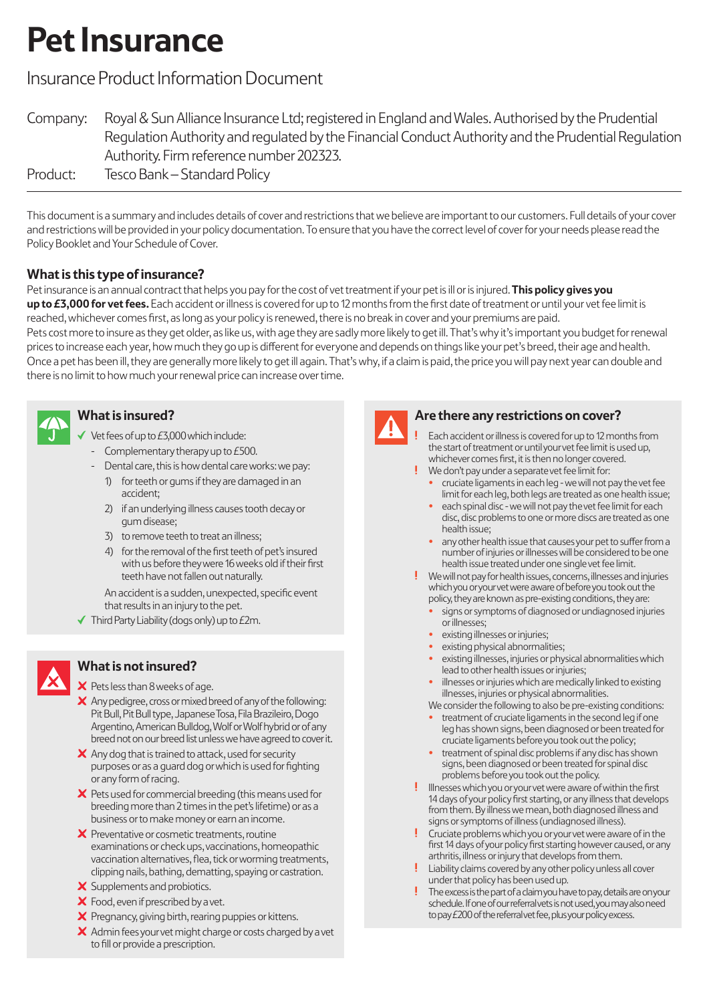# **Pet Insurance**

## Insurance Product Information Document

| Company: | Royal & Sun Alliance Insurance Ltd; registered in England and Wales. Authorised by the Prudential   |
|----------|-----------------------------------------------------------------------------------------------------|
|          | Regulation Authority and regulated by the Financial Conduct Authority and the Prudential Regulation |
|          | Authority. Firm reference number 202323.                                                            |
| Product: | Tesco Bank – Standard Policy                                                                        |

This document is a summary and includes details of cover and restrictions that we believe are important to our customers. Full details of your cover and restrictions will be provided in your policy documentation. To ensure that you have the correct level of cover for your needs please read the Policy Booklet and Your Schedule of Cover.

## **What is this type of insurance?**

Pet insurance is an annual contract that helps you pay for the cost of vet treatment if your pet is ill or is injured. **This policy gives you up to £3,000 for vet fees.** Each accident or illness is covered for up to 12 months from the first date of treatment or until your vet fee limit is reached, whichever comes first, as long as your policy is renewed, there is no break in cover and your premiums are paid.

Pets cost more to insure as they get older, as like us, with age they are sadly more likely to get ill. That's why it's important you budget for renewal prices to increase each year, how much they go up is different for everyone and depends on things like your pet's breed, their age and health. Once a pet has been ill, they are generally more likely to get ill again. That's why, if a claim is paid, the price you will pay next year can double and there is no limit to how much your renewal price can increase over time.



## **What is insured?**

- Vet fees of up to £3,000 which include:
- Complementary therapy up to  $E$ 500.
- Dental care, this is how dental care works: we pay:
	- 1) for teeth or gums if they are damaged in an accident:
	- 2) if an underlying illness causes tooth decay or qum disease;
	- 3) to remove teeth to treat an illness;
	- 4) for the removal of the first teeth of pet's insured with us before they were 16 weeks old if their first teeth have not fallen out naturally.

An accident is a sudden, unexpected, specific event that results in an injury to the pet.

 $\blacktriangleright$  Third Party Liability (dogs only) up to £2m.



## **What is not insured?**

- $\times$  Pets less than 8 weeks of age.
- $\boldsymbol{\times}$  Any pedigree, cross or mixed breed of any of the following: Pit Bull, Pit Bull type, Japanese Tosa, Fila Brazileiro, Dogo Argentino, American Bulldog, Wolf or Wolf hybrid or of any breed not on our breed list unless we have agreed to cover it.
- $\boldsymbol{\times}$  Any dog that is trained to attack, used for security purposes or as a guard dog or which is used for fighting or any form of racing.
- $\boldsymbol{\times}$  Pets used for commercial breeding (this means used for breeding more than 2 times in the pet's lifetime) or as a business or to make money or earn an income.
- $\boldsymbol{\times}$  Preventative or cosmetic treatments, routine examinations or check ups, vaccinations, homeopathic vaccination alternatives, flea, tick or worming treatments, clipping nails, bathing, dematting, spaying or castration.
- X Supplements and probiotics.
- X Food, even if prescribed by a vet.
- $\times$  Pregnancy, giving birth, rearing puppies or kittens.
- $\boldsymbol{\times}$  Admin fees your vet might charge or costs charged by a vet to fill or provide a prescription.



### **Are there any restrictions on cover?**

- Each accident or illness is covered for up to 12 months from the start of treatment or until your vet fee limit is used up, whichever comes first, it is then no longer covered. We don't pay under a separate vet fee limit for:
	- cruciate ligaments in each leg we will not pay the vet fee limit for each leg, both legs are treated as one health issue;
	- each spinal disc we will not pay the vet fee limit for each disc, disc problems to one or more discs are treated as one health issue;
	- any other health issue that causes your pet to suffer from a number of injuries or illnesses will be considered to be one health issue treated under one single vet fee limit.
- We will not pay for health issues, concerns, illnesses and injuries which you or your vet were aware of before you took out the policy, they are known as pre-existing conditions, they are:
	- signs or symptoms of diagnosed or undiagnosed injuries or illnesses;
	- existing illnesses or injuries;
	- existing physical abnormalities;
	- existing illnesses, injuries or physical abnormalities which lead to other health issues or injuries;
	- illnesses or injuries which are medically linked to existing illnesses, injuries or physical abnormalities.
	- We consider the following to also be pre-existing conditions: • treatment of cruciate ligaments in the second leg if one leg has shown signs, been diagnosed or been treated for cruciate ligaments before you took out the policy;
	- treatment of spinal disc problems if any disc has shown signs, been diagnosed or been treated for spinal disc problems before you took out the policy.
- Illnesses which you or your vet were aware of within the first 14 days of your policy first starting, or any illness that develops from them. By illness we mean, both diagnosed illness and signs or symptoms of illness (undiagnosed illness).
- Cruciate problems which you or your vet were aware of in the first 14 days of your policy first starting however caused, or any arthritis, illness or injury that develops from them.
- Liability claims covered by any other policy unless all cover under that policy has been used up.
- The excess is the part of a claim you have to pay, details are on your schedule. If one of our referral vets is not used, you may also need to pay £200 of the referral vet fee, plus your policy excess.